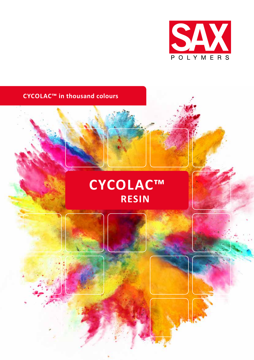

## **CYCOLAC™ in thousand colours**

# **CYCOLAC™ RESIN**



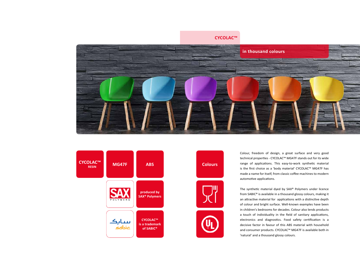## **CYCOLAC™**



Colour, freedom of design, a great surface and very good technical properties - CYCOLAC™ MG47F stands out for its wide range of applications. This easy-to-work synthetic material is the first choice as a 'body material' CYCOLAC™ MG47F has made a name for itself, from classic coffee machines to modern automotive applications.



The synthetic material dyed by SAX® Polymers under licence from SABIC® is available in a thousand glossy colours, making it an attractive material for applications with a distinctive depth of colour and bright surface. Well-known examples have been in children's bedrooms for decades. Colour also lends products a touch of individuality in the field of sanitary applications, electronics and diagnostics. Food safety certification is a decisive factor in favour of this ABS material with household and consumer products. CYCOLAC™ MG47F is available both in 'natural' and a thousand glossy colours.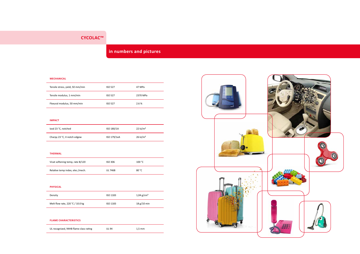## **CYCOLAC™**

## **in numbers and pictures**

#### **MECHANICAL**

| Tensile stress, yield, 50 mm/min | <b>ISO 527</b> | 47 MPa   |
|----------------------------------|----------------|----------|
| Tensile modulus, 1 mm/min        | <b>ISO 527</b> | 2370 MPa |
| Flexural modulus, 50 mm/min      | <b>ISO 527</b> | 2.6%     |

#### **IMPACT**

| Izod 23 °C, notched         | ISO 180/1A  | 22 kJ/m <sup>2</sup> |
|-----------------------------|-------------|----------------------|
| Charpy 23 °C, V-notch edgew | ISO 179/1eA | $26 \text{ kJ/m}^2$  |

### **THERMAL**

| Vicat softening temp, rate B/120 | ISO 306 | 100 °C |
|----------------------------------|---------|--------|
| Relative temp index, elec./mech. | UL 746B | 80 °C  |

#### **PHYSICAL**

| Density                          | ISO 1183 | $1,04$ g/cm <sup>3</sup> |
|----------------------------------|----------|--------------------------|
| Melt flow rate, 220 °C / 10.0 kg | ISO 1183 | 18 g/10 min              |

### **FLAME CHARACTERISTICS**

UL recognized, 94HB flame class rating and UL 94 1,5 mm

![](_page_2_Picture_13.jpeg)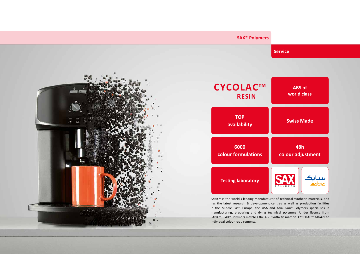# **CYCOLAC™ RESIN**

**SAX® Polymers**

## **Service**

SABIC® is the world's leading manufacturer of technical synthetic materials, and has the latest research & development centres as well as production facilities in the Middle East, Europe, the USA and Asia. SAX® Polymers specialises in manufacturing, preparing and dying technical polymers. Under licence from SABIC<sup>®</sup>, SAX<sup>®</sup> Polymers matches the ABS synthetic material CYCOLAC<sup>™</sup> MG47F to individual colour requirements.

## **Testing laboratory**

**Swiss Made**

**6000 colour formulations**

## **48h colour adjustment**

![](_page_3_Picture_11.jpeg)

![](_page_3_Picture_12.jpeg)

**TOP availability**

**ABS of world class**